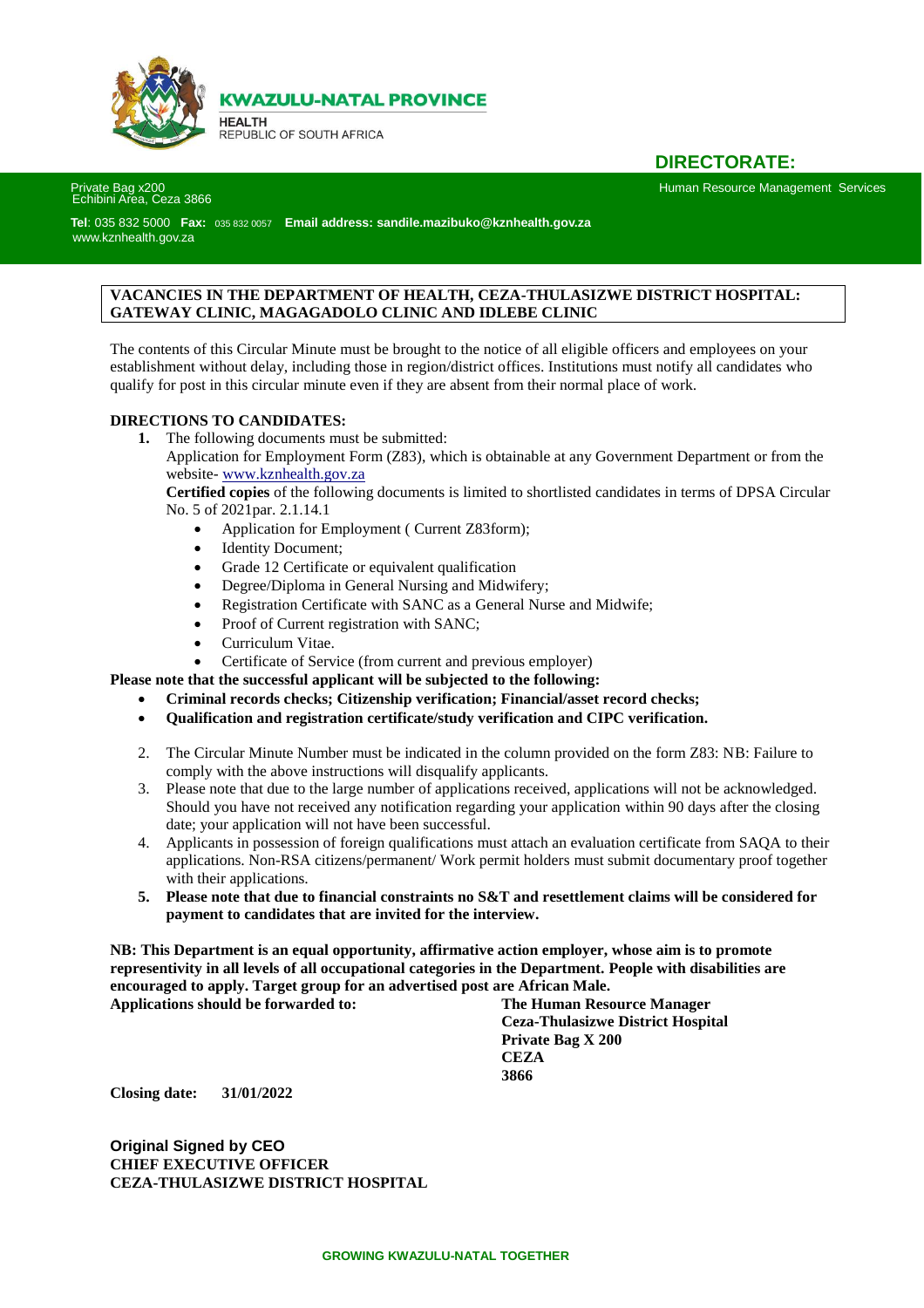

**KWAZULU-NATAL PROVINCE** 

**HEALTH** REPUBLIC OF SOUTH AFRICA

### **DIRECTORATE:**

Human Resource Management Services

# Private Bag x200<br>Echibini Area, Ceza 3866

 **Tel**: 035 832 5000 **Fax:** 035 832 0057 **Email address: sandile.mazibuko@kznhealth.gov.za** [www.kznhealth.gov.za](http://www.kznhealth.gov.za/)

#### **VACANCIES IN THE DEPARTMENT OF HEALTH, CEZA-THULASIZWE DISTRICT HOSPITAL: GATEWAY CLINIC, MAGAGADOLO CLINIC AND IDLEBE CLINIC**

The contents of this Circular Minute must be brought to the notice of all eligible officers and employees on your establishment without delay, including those in region/district offices. Institutions must notify all candidates who qualify for post in this circular minute even if they are absent from their normal place of work.

#### **DIRECTIONS TO CANDIDATES:**

**1.** The following documents must be submitted:

Application for Employment Form (Z83), which is obtainable at any Government Department or from the website- [www.kznhealth.gov.za](http://www.kznhealth.gov.za/)

**Certified copies** of the following documents is limited to shortlisted candidates in terms of DPSA Circular No. 5 of 2021par. 2.1.14.1

- Application for Employment ( Current Z83form);
- Identity Document;
- Grade 12 Certificate or equivalent qualification
- Degree/Diploma in General Nursing and Midwifery;
- Registration Certificate with SANC as a General Nurse and Midwife;
- Proof of Current registration with SANC;
- Curriculum Vitae.
- Certificate of Service (from current and previous employer)

**Please note that the successful applicant will be subjected to the following:**

- **Criminal records checks; Citizenship verification; Financial/asset record checks;**
- **Qualification and registration certificate/study verification and CIPC verification.**
- 2. The Circular Minute Number must be indicated in the column provided on the form Z83: NB: Failure to comply with the above instructions will disqualify applicants.
- 3. Please note that due to the large number of applications received, applications will not be acknowledged. Should you have not received any notification regarding your application within 90 days after the closing date; your application will not have been successful.
- 4. Applicants in possession of foreign qualifications must attach an evaluation certificate from SAQA to their applications. Non-RSA citizens/permanent/ Work permit holders must submit documentary proof together with their applications.
- **5. Please note that due to financial constraints no S&T and resettlement claims will be considered for payment to candidates that are invited for the interview.**

**NB: This Department is an equal opportunity, affirmative action employer, whose aim is to promote representivity in all levels of all occupational categories in the Department. People with disabilities are encouraged to apply. Target group for an advertised post are African Male.**

**Applications should be forwarded to: The Human Resource Manager Ceza-Thulasizwe District Hospital Private Bag X 200 CEZA 3866**

**Closing date: 31/01/2022**

**Original Signed by CEO CHIEF EXECUTIVE OFFICER CEZA-THULASIZWE DISTRICT HOSPITAL**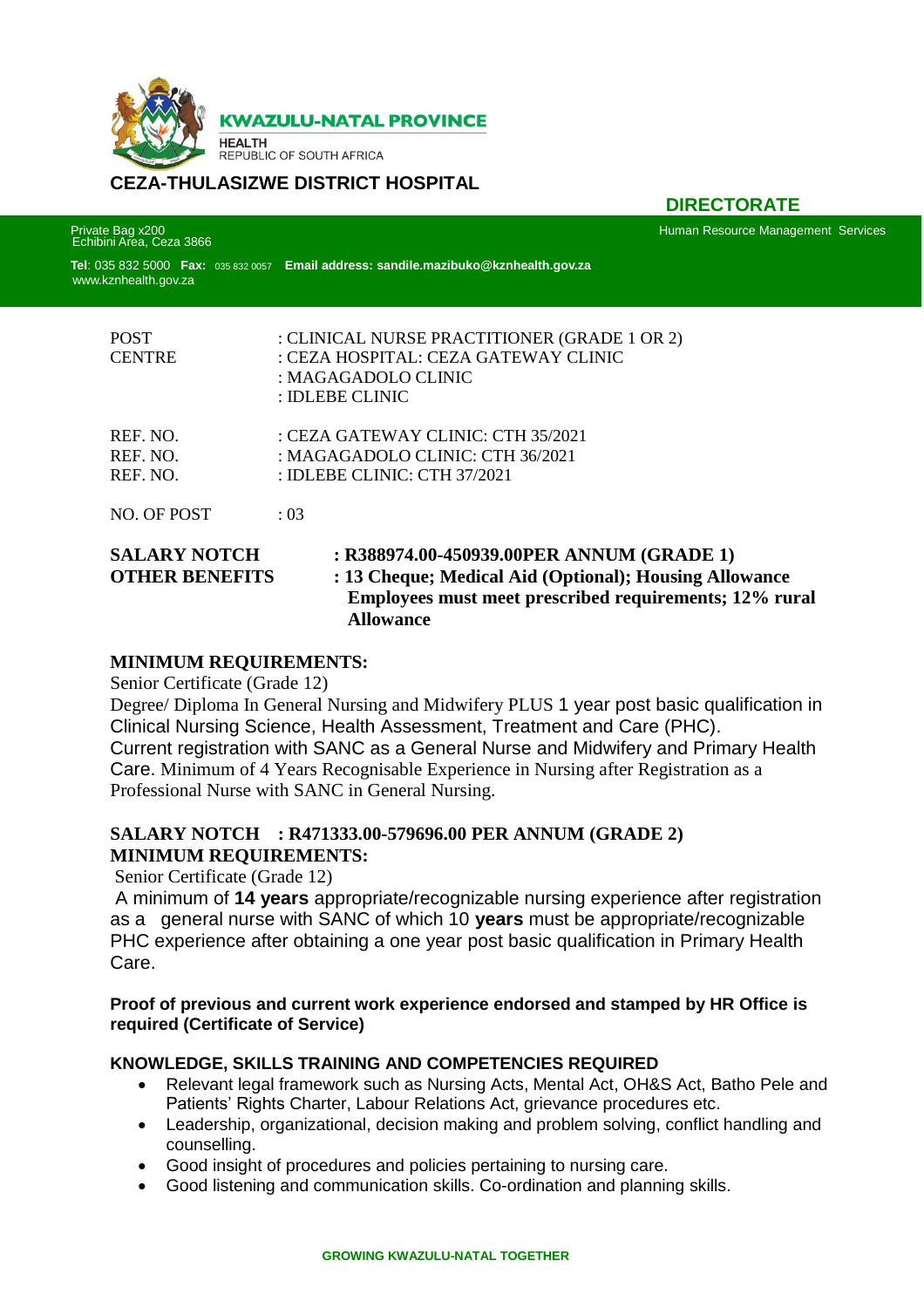

## **CEZA-THULASIZWE DISTRICT HOSPITAL**

Private Bag x200<br>Echibini Area, Ceza 3866

 **DIRECTORATE**

Human Resource Management Services

 **Tel**: 035 832 5000 **Fax:** 035 832 0057 **Email address: sandile.mazibuko@kznhealth.gov.za Sad** [www.kznhealth.gov.za](http://www.kznhealth.gov.za/)

| <b>POST</b><br><b>CENTRE</b>                 | : CLINICAL NURSE PRACTITIONER (GRADE 1 OR 2)<br>: CEZA HOSPITAL: CEZA GATEWAY CLINIC<br>: MAGAGADOLO CLINIC<br>: IDLEBE CLINIC                                |
|----------------------------------------------|---------------------------------------------------------------------------------------------------------------------------------------------------------------|
| REF. NO.<br>REF. NO.<br>REF. NO.             | : CEZA GATEWAY CLINIC: CTH 35/2021<br>: MAGAGADOLO CLINIC: CTH 36/2021<br>: IDLEBE CLINIC: CTH $37/2021$                                                      |
| NO. OF POST                                  | : 03                                                                                                                                                          |
| <b>SALARY NOTCH</b><br><b>OTHER BENEFITS</b> | : R388974.00-450939.00PER ANNUM (GRADE 1)<br>: 13 Cheque; Medical Aid (Optional); Housing Allowance<br>Employees must meet prescribed requirements; 12% rural |

### **MINIMUM REQUIREMENTS:**

Senior Certificate (Grade 12)

Degree/ Diploma In General Nursing and Midwifery PLUS 1 year post basic qualification in Clinical Nursing Science, Health Assessment, Treatment and Care (PHC). Current registration with SANC as a General Nurse and Midwifery and Primary Health Care. Minimum of 4 Years Recognisable Experience in Nursing after Registration as a Professional Nurse with SANC in General Nursing.

### **SALARY NOTCH : R471333.00-579696.00 PER ANNUM (GRADE 2) MINIMUM REQUIREMENTS:**

 **Allowance**

Senior Certificate (Grade 12)

A minimum of **14 years** appropriate/recognizable nursing experience after registration as a general nurse with SANC of which 10 **years** must be appropriate/recognizable PHC experience after obtaining a one year post basic qualification in Primary Health Care.

#### **Proof of previous and current work experience endorsed and stamped by HR Office is required (Certificate of Service)**

### **KNOWLEDGE, SKILLS TRAINING AND COMPETENCIES REQUIRED**

- Relevant legal framework such as Nursing Acts, Mental Act, OH&S Act, Batho Pele and Patients' Rights Charter, Labour Relations Act, grievance procedures etc.
- Leadership, organizational, decision making and problem solving, conflict handling and counselling.
- Good insight of procedures and policies pertaining to nursing care.
- Good listening and communication skills. Co-ordination and planning skills.